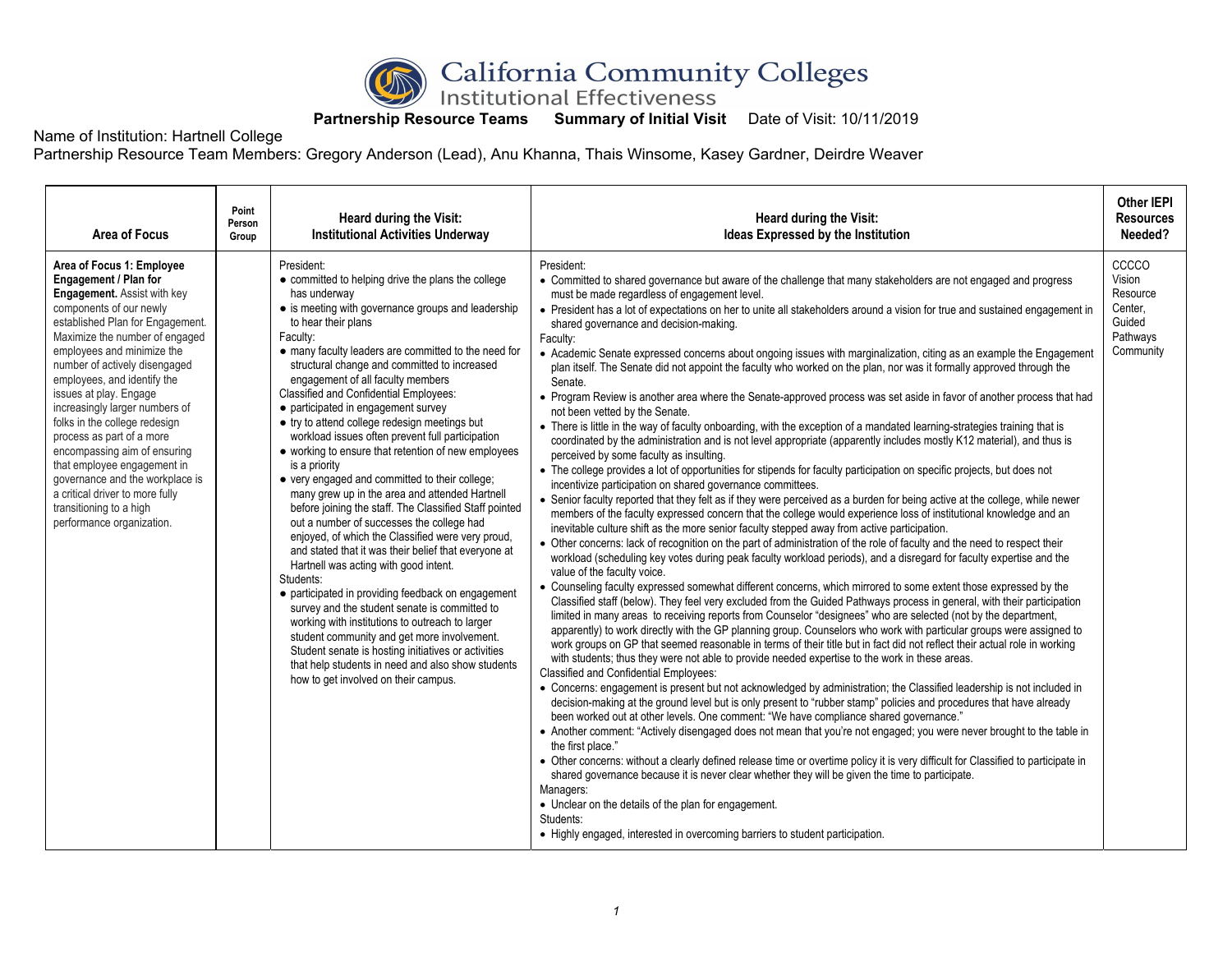

## **Partnership Resource Teams Summary of Initial Visit Date of Visit: 10/11/2019**

Name of Institution: Hartnell College

Partnership Resource Team Members: Gregory Anderson (Lead), Anu Khanna, Thais Winsome, Kasey Gardner, Deirdre Weaver

| Area of Focus                                                                                                                                                                                                                                                                                                                                                                                                                                                                                                                                                                                                  | Point<br>Person<br>Group | Heard during the Visit:<br><b>Institutional Activities Underway</b>                                                                                                                                                                                                                                                                                                                                                                                                                                                                                                                                                                                                                                                                                                                                                                                                                                                                                                                                                                                                                                                                                                                                                                                                                                                                    | Heard during the Visit:<br>Ideas Expressed by the Institution                                                                                                                                                                                                                                                                                                                                                                                                                                                                                                                                                                                                                                                                                                                                                                                                                                                                                                                                                                                                                                                                                                                                                                                                                                                                                                                                                                                                                                                                                                                                                                                                                                                                                                                                                                                                                                                                                                                                                                                                                                                                                                                                                                                                                                                                                                                                                                                                                                                                                                                                                                                                                                                                                                                                                                                                                                                                                                                                                                                                                                                                                                                                                                                                                                                                                                                                                                                                                                                                                                                               | <b>Other IEPI</b><br><b>Resources</b><br>Needed?                          |
|----------------------------------------------------------------------------------------------------------------------------------------------------------------------------------------------------------------------------------------------------------------------------------------------------------------------------------------------------------------------------------------------------------------------------------------------------------------------------------------------------------------------------------------------------------------------------------------------------------------|--------------------------|----------------------------------------------------------------------------------------------------------------------------------------------------------------------------------------------------------------------------------------------------------------------------------------------------------------------------------------------------------------------------------------------------------------------------------------------------------------------------------------------------------------------------------------------------------------------------------------------------------------------------------------------------------------------------------------------------------------------------------------------------------------------------------------------------------------------------------------------------------------------------------------------------------------------------------------------------------------------------------------------------------------------------------------------------------------------------------------------------------------------------------------------------------------------------------------------------------------------------------------------------------------------------------------------------------------------------------------|---------------------------------------------------------------------------------------------------------------------------------------------------------------------------------------------------------------------------------------------------------------------------------------------------------------------------------------------------------------------------------------------------------------------------------------------------------------------------------------------------------------------------------------------------------------------------------------------------------------------------------------------------------------------------------------------------------------------------------------------------------------------------------------------------------------------------------------------------------------------------------------------------------------------------------------------------------------------------------------------------------------------------------------------------------------------------------------------------------------------------------------------------------------------------------------------------------------------------------------------------------------------------------------------------------------------------------------------------------------------------------------------------------------------------------------------------------------------------------------------------------------------------------------------------------------------------------------------------------------------------------------------------------------------------------------------------------------------------------------------------------------------------------------------------------------------------------------------------------------------------------------------------------------------------------------------------------------------------------------------------------------------------------------------------------------------------------------------------------------------------------------------------------------------------------------------------------------------------------------------------------------------------------------------------------------------------------------------------------------------------------------------------------------------------------------------------------------------------------------------------------------------------------------------------------------------------------------------------------------------------------------------------------------------------------------------------------------------------------------------------------------------------------------------------------------------------------------------------------------------------------------------------------------------------------------------------------------------------------------------------------------------------------------------------------------------------------------------------------------------------------------------------------------------------------------------------------------------------------------------------------------------------------------------------------------------------------------------------------------------------------------------------------------------------------------------------------------------------------------------------------------------------------------------------------------------------------------------|---------------------------------------------------------------------------|
| Area of Focus 1: Employee<br>Engagement / Plan for<br><b>Engagement.</b> Assist with key<br>components of our newly<br>established Plan for Engagement.<br>Maximize the number of engaged<br>employees and minimize the<br>number of actively disengaged<br>employees, and identify the<br>issues at play. Engage<br>increasingly larger numbers of<br>folks in the college redesign<br>process as part of a more<br>encompassing aim of ensuring<br>that employee engagement in<br>governance and the workplace is<br>a critical driver to more fully<br>transitioning to a high<br>performance organization. |                          | President:<br>• committed to helping drive the plans the college<br>has underway<br>• is meeting with governance groups and leadership<br>to hear their plans<br>Faculty:<br>• many faculty leaders are committed to the need for<br>structural change and committed to increased<br>engagement of all faculty members<br><b>Classified and Confidential Employees:</b><br>• participated in engagement survey<br>• try to attend college redesign meetings but<br>workload issues often prevent full participation<br>• working to ensure that retention of new employees<br>is a priority<br>• very engaged and committed to their college;<br>many grew up in the area and attended Hartnell<br>before joining the staff. The Classified Staff pointed<br>out a number of successes the college had<br>enjoyed, of which the Classified were very proud,<br>and stated that it was their belief that everyone at<br>Hartnell was acting with good intent.<br>Students:<br>• participated in providing feedback on engagement<br>survey and the student senate is committed to<br>working with institutions to outreach to larger<br>student community and get more involvement.<br>Student senate is hosting initiatives or activities<br>that help students in need and also show students<br>how to get involved on their campus. | President:<br>• Committed to shared governance but aware of the challenge that many stakeholders are not engaged and progress<br>must be made regardless of engagement level.<br>• President has a lot of expectations on her to unite all stakeholders around a vision for true and sustained engagement in<br>shared governance and decision-making.<br>Faculty:<br>• Academic Senate expressed concerns about ongoing issues with marginalization, citing as an example the Engagement<br>plan itself. The Senate did not appoint the faculty who worked on the plan, nor was it formally approved through the<br>Senate.<br>• Program Review is another area where the Senate-approved process was set aside in favor of another process that had<br>not been vetted by the Senate.<br>• There is little in the way of faculty onboarding, with the exception of a mandated learning-strategies training that is<br>coordinated by the administration and is not level appropriate (apparently includes mostly K12 material), and thus is<br>perceived by some faculty as insulting.<br>• The college provides a lot of opportunities for stipends for faculty participation on specific projects, but does not<br>incentivize participation on shared governance committees.<br>• Senior faculty reported that they felt as if they were perceived as a burden for being active at the college, while newer<br>members of the faculty expressed concern that the college would experience loss of institutional knowledge and an<br>inevitable culture shift as the more senior faculty stepped away from active participation.<br>• Other concerns: lack of recognition on the part of administration of the role of faculty and the need to respect their<br>workload (scheduling key votes during peak faculty workload periods), and a disregard for faculty expertise and the<br>value of the faculty voice.<br>• Counseling faculty expressed somewhat different concerns, which mirrored to some extent those expressed by the<br>Classified staff (below). They feel very excluded from the Guided Pathways process in general, with their participation<br>limited in many areas to receiving reports from Counselor "designees" who are selected (not by the department,<br>apparently) to work directly with the GP planning group. Counselors who work with particular groups were assigned to<br>work groups on GP that seemed reasonable in terms of their title but in fact did not reflect their actual role in working<br>with students; thus they were not able to provide needed expertise to the work in these areas.<br>Classified and Confidential Employees:<br>• Concerns: engagement is present but not acknowledged by administration; the Classified leadership is not included in<br>decision-making at the ground level but is only present to "rubber stamp" policies and procedures that have already<br>been worked out at other levels. One comment: "We have compliance shared governance."<br>• Another comment: "Actively disengaged does not mean that you're not engaged; you were never brought to the table in<br>the first place."<br>• Other concerns: without a clearly defined release time or overtime policy it is very difficult for Classified to participate in<br>shared governance because it is never clear whether they will be given the time to participate.<br>Managers:<br>• Unclear on the details of the plan for engagement.<br>Students:<br>• Highly engaged, interested in overcoming barriers to student participation. | CCCCO<br>Vision<br>Resource<br>Center.<br>Guided<br>Pathways<br>Community |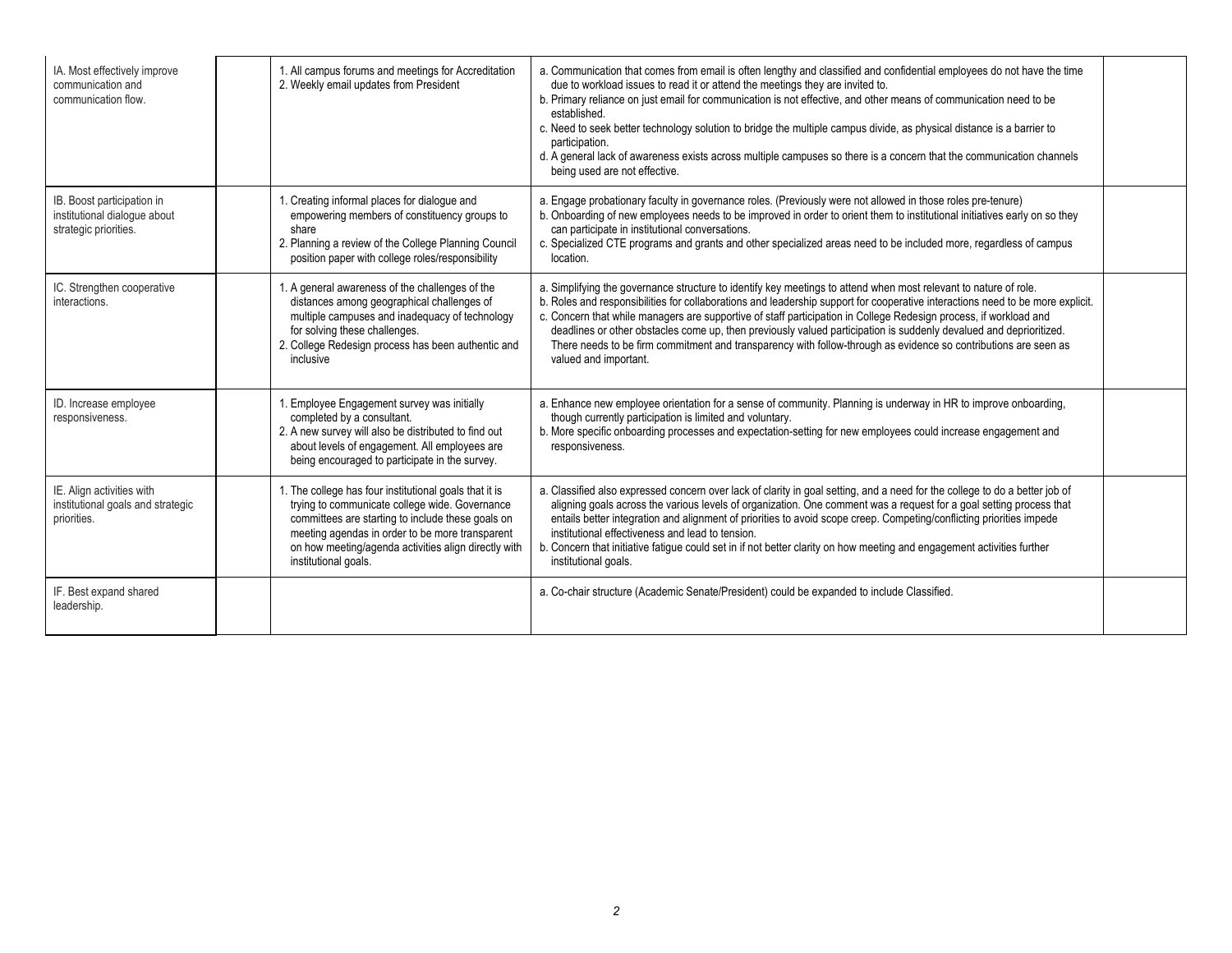| IA. Most effectively improve<br>communication and<br>communication flow.            | 1. All campus forums and meetings for Accreditation<br>2. Weekly email updates from President                                                                                                                                                                                                    | a. Communication that comes from email is often lengthy and classified and confidential employees do not have the time<br>due to workload issues to read it or attend the meetings they are invited to.<br>b. Primary reliance on just email for communication is not effective, and other means of communication need to be<br>established.<br>c. Need to seek better technology solution to bridge the multiple campus divide, as physical distance is a barrier to<br>participation.<br>d. A general lack of awareness exists across multiple campuses so there is a concern that the communication channels<br>being used are not effective. |  |
|-------------------------------------------------------------------------------------|--------------------------------------------------------------------------------------------------------------------------------------------------------------------------------------------------------------------------------------------------------------------------------------------------|--------------------------------------------------------------------------------------------------------------------------------------------------------------------------------------------------------------------------------------------------------------------------------------------------------------------------------------------------------------------------------------------------------------------------------------------------------------------------------------------------------------------------------------------------------------------------------------------------------------------------------------------------|--|
| IB. Boost participation in<br>institutional dialogue about<br>strategic priorities. | 1. Creating informal places for dialogue and<br>empowering members of constituency groups to<br>share<br>2. Planning a review of the College Planning Council<br>position paper with college roles/responsibility                                                                                | a. Engage probationary faculty in governance roles. (Previously were not allowed in those roles pre-tenure)<br>b. Onboarding of new employees needs to be improved in order to orient them to institutional initiatives early on so they<br>can participate in institutional conversations.<br>c. Specialized CTE programs and grants and other specialized areas need to be included more, regardless of campus<br>location.                                                                                                                                                                                                                    |  |
| IC. Strengthen cooperative<br>interactions.                                         | 1. A general awareness of the challenges of the<br>distances among geographical challenges of<br>multiple campuses and inadequacy of technology<br>for solving these challenges.<br>2. College Redesign process has been authentic and<br>inclusive                                              | a. Simplifying the governance structure to identify key meetings to attend when most relevant to nature of role.<br>b. Roles and responsibilities for collaborations and leadership support for cooperative interactions need to be more explicit.<br>c. Concern that while managers are supportive of staff participation in College Redesign process, if workload and<br>deadlines or other obstacles come up, then previously valued participation is suddenly devalued and deprioritized.<br>There needs to be firm commitment and transparency with follow-through as evidence so contributions are seen as<br>valued and important.        |  |
| ID. Increase employee<br>responsiveness.                                            | 1. Employee Engagement survey was initially<br>completed by a consultant.<br>2. A new survey will also be distributed to find out<br>about levels of engagement. All employees are<br>being encouraged to participate in the survey.                                                             | a. Enhance new employee orientation for a sense of community. Planning is underway in HR to improve onboarding,<br>though currently participation is limited and voluntary.<br>b. More specific onboarding processes and expectation-setting for new employees could increase engagement and<br>responsiveness.                                                                                                                                                                                                                                                                                                                                  |  |
| IE. Align activities with<br>institutional goals and strategic<br>priorities.       | 1. The college has four institutional goals that it is<br>trying to communicate college wide. Governance<br>committees are starting to include these goals on<br>meeting agendas in order to be more transparent<br>on how meeting/agenda activities align directly with<br>institutional goals. | a. Classified also expressed concern over lack of clarity in goal setting, and a need for the college to do a better job of<br>aligning goals across the various levels of organization. One comment was a request for a goal setting process that<br>entails better integration and alignment of priorities to avoid scope creep. Competing/conflicting priorities impede<br>institutional effectiveness and lead to tension.<br>b. Concern that initiative fatigue could set in if not better clarity on how meeting and engagement activities further<br>institutional goals.                                                                 |  |
| IF. Best expand shared<br>leadership.                                               |                                                                                                                                                                                                                                                                                                  | a. Co-chair structure (Academic Senate/President) could be expanded to include Classified.                                                                                                                                                                                                                                                                                                                                                                                                                                                                                                                                                       |  |